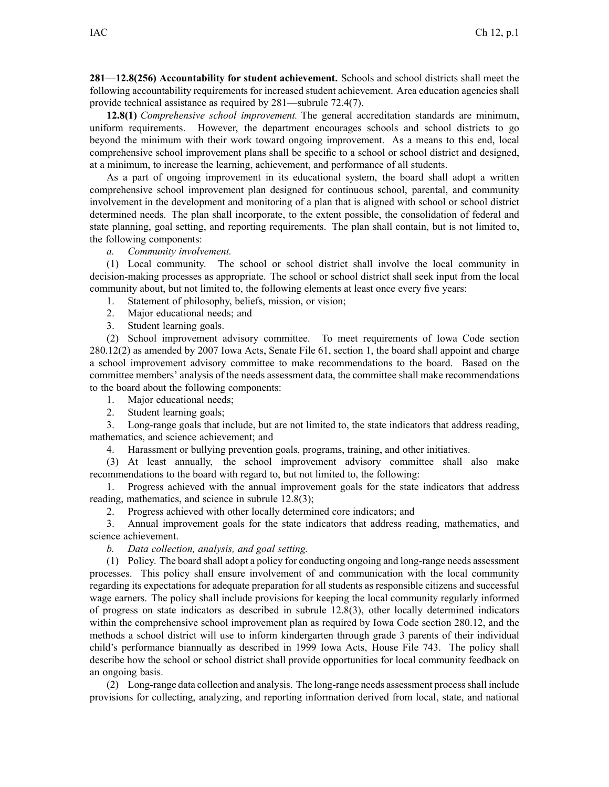**281—12.8(256) Accountability for student achievement.** Schools and school districts shall meet the following accountability requirements for increased student achievement. Area education agencies shall provide technical assistance as required by [281—subrule](https://www.legis.iowa.gov/docs/iac/rule/281.72.4.pdf) 72.4(7).

**12.8(1)** *Comprehensive school improvement.* The general accreditation standards are minimum, uniform requirements. However, the department encourages schools and school districts to go beyond the minimum with their work toward ongoing improvement. As <sup>a</sup> means to this end, local comprehensive school improvement plans shall be specific to a school or school district and designed, at <sup>a</sup> minimum, to increase the learning, achievement, and performance of all students.

As <sup>a</sup> par<sup>t</sup> of ongoing improvement in its educational system, the board shall adopt <sup>a</sup> written comprehensive school improvement plan designed for continuous school, parental, and community involvement in the development and monitoring of <sup>a</sup> plan that is aligned with school or school district determined needs. The plan shall incorporate, to the extent possible, the consolidation of federal and state planning, goal setting, and reporting requirements. The plan shall contain, but is not limited to, the following components:

*a. Community involvement.*

(1) Local community. The school or school district shall involve the local community in decision-making processes as appropriate. The school or school district shall seek input from the local community about, but not limited to, the following elements at least once every five years:

- 1. Statement of philosophy, beliefs, mission, or vision;
- 2. Major educational needs; and
- 3. Student learning goals.

(2) School improvement advisory committee. To meet requirements of Iowa Code section [280.12\(2\)](https://www.legis.iowa.gov/docs/ico/section/280.12.pdf) as amended by 2007 Iowa Acts, Senate File 61, section 1, the board shall appoint and charge <sup>a</sup> school improvement advisory committee to make recommendations to the board. Based on the committee members' analysis of the needs assessment data, the committee shall make recommendations to the board about the following components:

1. Major educational needs;

2. Student learning goals;

3. Long-range goals that include, but are not limited to, the state indicators that address reading, mathematics, and science achievement; and

4. Harassment or bullying prevention goals, programs, training, and other initiatives.

(3) At least annually, the school improvement advisory committee shall also make recommendations to the board with regard to, but not limited to, the following:

1. Progress achieved with the annual improvement goals for the state indicators that address reading, mathematics, and science in subrule [12.8\(3\)](https://www.legis.iowa.gov/docs/iac/rule/281.12.8.pdf);

2. Progress achieved with other locally determined core indicators; and

3. Annual improvement goals for the state indicators that address reading, mathematics, and science achievement.

*b. Data collection, analysis, and goal setting.*

(1) Policy. The board shall adopt <sup>a</sup> policy for conducting ongoing and long-range needs assessment processes. This policy shall ensure involvement of and communication with the local community regarding its expectations for adequate preparation for all students as responsible citizens and successful wage earners. The policy shall include provisions for keeping the local community regularly informed of progress on state indicators as described in subrule [12.8\(3\)](https://www.legis.iowa.gov/docs/iac/rule/281.12.8.pdf), other locally determined indicators within the comprehensive school improvement plan as required by Iowa Code section [280.12](https://www.legis.iowa.gov/docs/ico/section/280.12.pdf), and the methods <sup>a</sup> school district will use to inform kindergarten through grade 3 parents of their individual child's performance biannually as described in 1999 Iowa Acts, House File 743. The policy shall describe how the school or school district shall provide opportunities for local community feedback on an ongoing basis.

(2) Long-range data collection and analysis. The long-range needs assessment processshall include provisions for collecting, analyzing, and reporting information derived from local, state, and national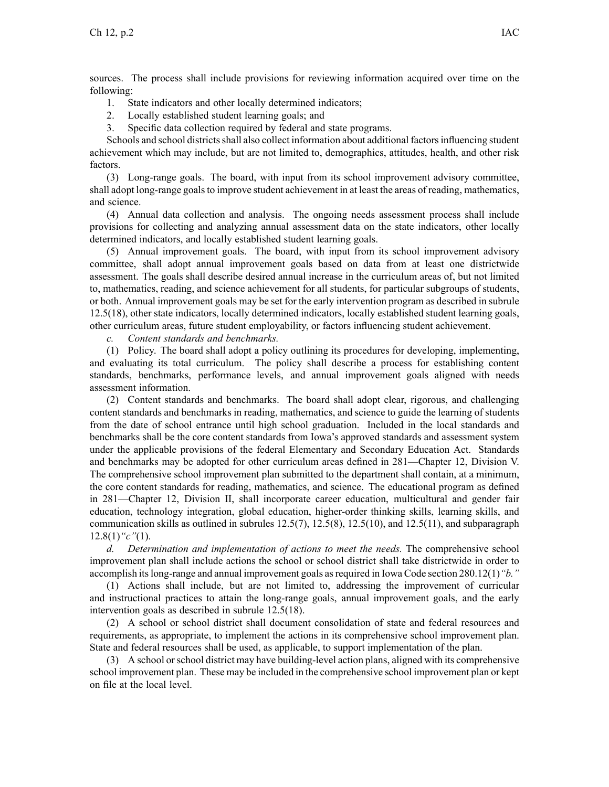sources. The process shall include provisions for reviewing information acquired over time on the following:

- 1. State indicators and other locally determined indicators;
- 2. Locally established student learning goals; and
- 3. Specific data collection required by federal and state programs.

Schools and school districts shall also collect information about additional factors influencing student achievement which may include, but are not limited to, demographics, attitudes, health, and other risk factors.

(3) Long-range goals. The board, with input from its school improvement advisory committee, shall adopt long-range goalsto improve student achievement in at least the areas of reading, mathematics, and science.

(4) Annual data collection and analysis. The ongoing needs assessment process shall include provisions for collecting and analyzing annual assessment data on the state indicators, other locally determined indicators, and locally established student learning goals.

(5) Annual improvement goals. The board, with input from its school improvement advisory committee, shall adopt annual improvement goals based on data from at least one districtwide assessment. The goals shall describe desired annual increase in the curriculum areas of, but not limited to, mathematics, reading, and science achievement for all students, for particular subgroups of students, or both. Annual improvement goals may be set for the early intervention program as described in subrule [12.5\(18\)](https://www.legis.iowa.gov/docs/iac/rule/281.12.5.pdf), other state indicators, locally determined indicators, locally established student learning goals, other curriculum areas, future student employability, or factors influencing student achievement.

*c. Content standards and benchmarks.*

(1) Policy. The board shall adopt <sup>a</sup> policy outlining its procedures for developing, implementing, and evaluating its total curriculum. The policy shall describe <sup>a</sup> process for establishing content standards, benchmarks, performance levels, and annual improvement goals aligned with needs assessment information.

(2) Content standards and benchmarks. The board shall adopt clear, rigorous, and challenging content standards and benchmarks in reading, mathematics, and science to guide the learning of students from the date of school entrance until high school graduation. Included in the local standards and benchmarks shall be the core content standards from Iowa's approved standards and assessment system under the applicable provisions of the federal Elementary and Secondary Education Act. Standards and benchmarks may be adopted for other curriculum areas defined in [281—Chapter](https://www.legis.iowa.gov/docs/iac/chapter/281.12.pdf) 12, Division V. The comprehensive school improvement plan submitted to the department shall contain, at <sup>a</sup> minimum, the core content standards for reading, mathematics, and science. The educational program as defined in [281—Chapter](https://www.legis.iowa.gov/docs/iac/chapter/281.12.pdf) 12, Division II, shall incorporate career education, multicultural and gender fair education, technology integration, global education, higher-order thinking skills, learning skills, and communication skills as outlined in subrules  $12.5(7)$ ,  $12.5(8)$ ,  $12.5(10)$ , and  $12.5(11)$ , and subparagraph [12.8\(1\)](https://www.legis.iowa.gov/docs/iac/rule/281.12.8.pdf)*"c"*(1).

*d. Determination and implementation of actions to meet the needs.* The comprehensive school improvement plan shall include actions the school or school district shall take districtwide in order to accomplish itslong-range and annual improvement goals asrequired in Iowa Code section [280.12\(1\)](https://www.legis.iowa.gov/docs/ico/section/280.12.pdf)*"b."*

(1) Actions shall include, but are not limited to, addressing the improvement of curricular and instructional practices to attain the long-range goals, annual improvement goals, and the early intervention goals as described in subrule [12.5\(18\)](https://www.legis.iowa.gov/docs/iac/rule/281.12.5.pdf).

(2) A school or school district shall document consolidation of state and federal resources and requirements, as appropriate, to implement the actions in its comprehensive school improvement plan. State and federal resources shall be used, as applicable, to suppor<sup>t</sup> implementation of the plan.

(3) A school orschool district may have building-level action plans, aligned with its comprehensive school improvement plan. These may be included in the comprehensive school improvement plan or kept on file at the local level.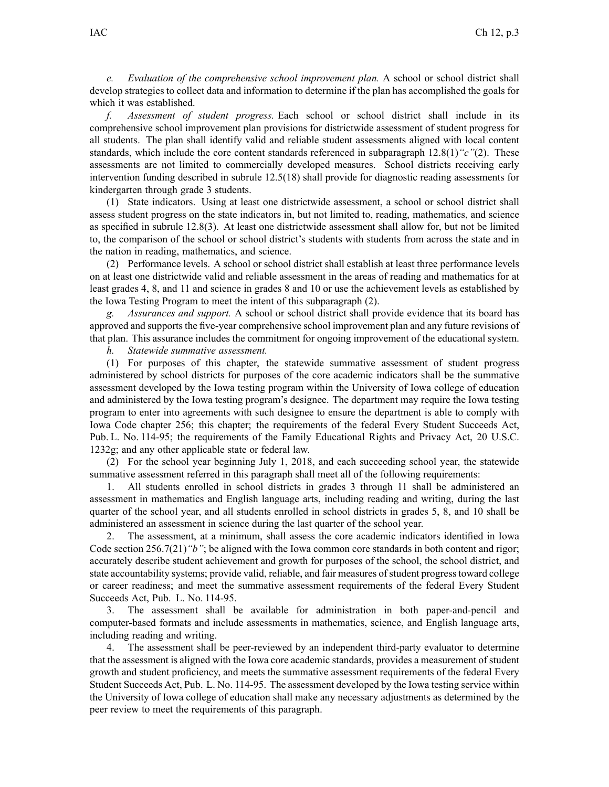*e. Evaluation of the comprehensive school improvement plan.* A school or school district shall develop strategies to collect data and information to determine if the plan has accomplished the goals for which it was established.

*f. Assessment of student progress.* Each school or school district shall include in its comprehensive school improvement plan provisions for districtwide assessment of student progress for all students. The plan shall identify valid and reliable student assessments aligned with local content standards, which include the core content standards referenced in subparagraph [12.8\(1\)](https://www.legis.iowa.gov/docs/iac/rule/281.12.8.pdf)*"c"*(2). These assessments are not limited to commercially developed measures. School districts receiving early intervention funding described in subrule [12.5\(18\)](https://www.legis.iowa.gov/docs/iac/rule/281.12.5.pdf) shall provide for diagnostic reading assessments for kindergarten through grade 3 students.

(1) State indicators. Using at least one districtwide assessment, <sup>a</sup> school or school district shall assess student progress on the state indicators in, but not limited to, reading, mathematics, and science as specified in subrule [12.8\(3\)](https://www.legis.iowa.gov/docs/iac/rule/281.12.8.pdf). At least one districtwide assessment shall allow for, but not be limited to, the comparison of the school or school district's students with students from across the state and in the nation in reading, mathematics, and science.

(2) Performance levels. A school or school district shall establish at least three performance levels on at least one districtwide valid and reliable assessment in the areas of reading and mathematics for at least grades 4, 8, and 11 and science in grades 8 and 10 or use the achievement levels as established by the Iowa Testing Program to meet the intent of this subparagraph (2).

*g. Assurances and support.* A school or school district shall provide evidence that its board has approved and supports the five-year comprehensive school improvement plan and any future revisions of that plan. This assurance includes the commitment for ongoing improvement of the educational system.

*h. Statewide summative assessment.*

(1) For purposes of this chapter, the statewide summative assessment of student progress administered by school districts for purposes of the core academic indicators shall be the summative assessment developed by the Iowa testing program within the University of Iowa college of education and administered by the Iowa testing program's designee. The department may require the Iowa testing program to enter into agreements with such designee to ensure the department is able to comply with Iowa Code chapter [256](https://www.legis.iowa.gov/docs/ico/chapter/2018/256.pdf); this chapter; the requirements of the federal Every Student Succeeds Act, Pub. L. No. 114-95; the requirements of the Family Educational Rights and Privacy Act, 20 U.S.C. 1232g; and any other applicable state or federal law.

(2) For the school year beginning July 1, 2018, and each succeeding school year, the statewide summative assessment referred in this paragraph shall meet all of the following requirements:

1. All students enrolled in school districts in grades 3 through 11 shall be administered an assessment in mathematics and English language arts, including reading and writing, during the last quarter of the school year, and all students enrolled in school districts in grades 5, 8, and 10 shall be administered an assessment in science during the last quarter of the school year.

2. The assessment, at <sup>a</sup> minimum, shall assess the core academic indicators identified in Iowa Code section [256.7\(21\)](https://www.legis.iowa.gov/docs/ico/section/2018/256.7.pdf)*"b"*; be aligned with the Iowa common core standards in both content and rigor; accurately describe student achievement and growth for purposes of the school, the school district, and state accountability systems; provide valid, reliable, and fair measures of student progress toward college or career readiness; and meet the summative assessment requirements of the federal Every Student Succeeds Act, Pub. L. No. 114-95.

3. The assessment shall be available for administration in both paper-and-pencil and computer-based formats and include assessments in mathematics, science, and English language arts, including reading and writing.

4. The assessment shall be peer-reviewed by an independent third-party evaluator to determine that the assessment is aligned with the Iowa core academic standards, provides <sup>a</sup> measurement of student growth and student proficiency, and meets the summative assessment requirements of the federal Every Student Succeeds Act, Pub. L. No. 114-95. The assessment developed by the Iowa testing service within the University of Iowa college of education shall make any necessary adjustments as determined by the peer review to meet the requirements of this paragraph.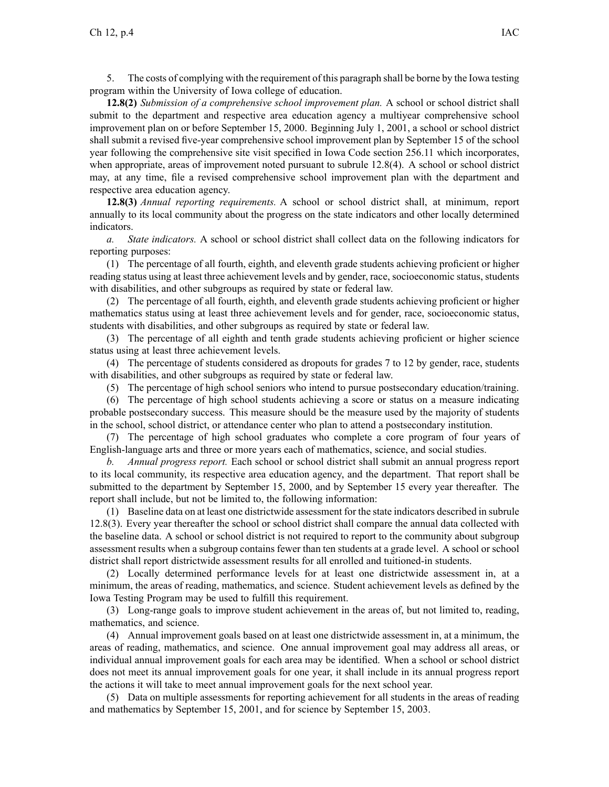5. The costs of complying with the requirement of this paragraph shall be borne by the Iowa testing program within the University of Iowa college of education.

**12.8(2)** *Submission of <sup>a</sup> comprehensive school improvement plan.* A school or school district shall submit to the department and respective area education agency <sup>a</sup> multiyear comprehensive school improvement plan on or before September 15, 2000. Beginning July 1, 2001, <sup>a</sup> school or school district shall submit <sup>a</sup> revised five-year comprehensive school improvement plan by September 15 of the school year following the comprehensive site visit specified in Iowa Code section [256.11](https://www.legis.iowa.gov/docs/ico/section/256.11.pdf) which incorporates, when appropriate, areas of improvement noted pursuant to subrule [12.8\(4\)](https://www.legis.iowa.gov/docs/iac/rule/281.12.8.pdf). A school or school district may, at any time, file <sup>a</sup> revised comprehensive school improvement plan with the department and respective area education agency.

**12.8(3)** *Annual reporting requirements.* A school or school district shall, at minimum, repor<sup>t</sup> annually to its local community about the progress on the state indicators and other locally determined indicators.

*a. State indicators.* A school or school district shall collect data on the following indicators for reporting purposes:

(1) The percentage of all fourth, eighth, and eleventh grade students achieving proficient or higher reading status using at least three achievement levels and by gender, race, socioeconomic status, students with disabilities, and other subgroups as required by state or federal law.

(2) The percentage of all fourth, eighth, and eleventh grade students achieving proficient or higher mathematics status using at least three achievement levels and for gender, race, socioeconomic status, students with disabilities, and other subgroups as required by state or federal law.

(3) The percentage of all eighth and tenth grade students achieving proficient or higher science status using at least three achievement levels.

(4) The percentage of students considered as dropouts for grades 7 to 12 by gender, race, students with disabilities, and other subgroups as required by state or federal law.

(5) The percentage of high school seniors who intend to pursue postsecondary education/training.

(6) The percentage of high school students achieving <sup>a</sup> score or status on <sup>a</sup> measure indicating probable postsecondary success. This measure should be the measure used by the majority of students in the school, school district, or attendance center who plan to attend <sup>a</sup> postsecondary institution.

(7) The percentage of high school graduates who complete <sup>a</sup> core program of four years of English-language arts and three or more years each of mathematics, science, and social studies.

*b. Annual progress report.* Each school or school district shall submit an annual progress repor<sup>t</sup> to its local community, its respective area education agency, and the department. That repor<sup>t</sup> shall be submitted to the department by September 15, 2000, and by September 15 every year thereafter. The repor<sup>t</sup> shall include, but not be limited to, the following information:

(1) Baseline data on at least one districtwide assessment for the state indicators described in subrule [12.8\(3\)](https://www.legis.iowa.gov/docs/iac/rule/281.12.8.pdf). Every year thereafter the school or school district shall compare the annual data collected with the baseline data. A school or school district is not required to repor<sup>t</sup> to the community about subgroup assessment results when <sup>a</sup> subgroup contains fewer than ten students at <sup>a</sup> grade level. A school or school district shall repor<sup>t</sup> districtwide assessment results for all enrolled and tuitioned-in students.

(2) Locally determined performance levels for at least one districtwide assessment in, at <sup>a</sup> minimum, the areas of reading, mathematics, and science. Student achievement levels as defined by the Iowa Testing Program may be used to fulfill this requirement.

(3) Long-range goals to improve student achievement in the areas of, but not limited to, reading, mathematics, and science.

(4) Annual improvement goals based on at least one districtwide assessment in, at <sup>a</sup> minimum, the areas of reading, mathematics, and science. One annual improvement goal may address all areas, or individual annual improvement goals for each area may be identified. When <sup>a</sup> school or school district does not meet its annual improvement goals for one year, it shall include in its annual progress repor<sup>t</sup> the actions it will take to meet annual improvement goals for the next school year.

(5) Data on multiple assessments for reporting achievement for all students in the areas of reading and mathematics by September 15, 2001, and for science by September 15, 2003.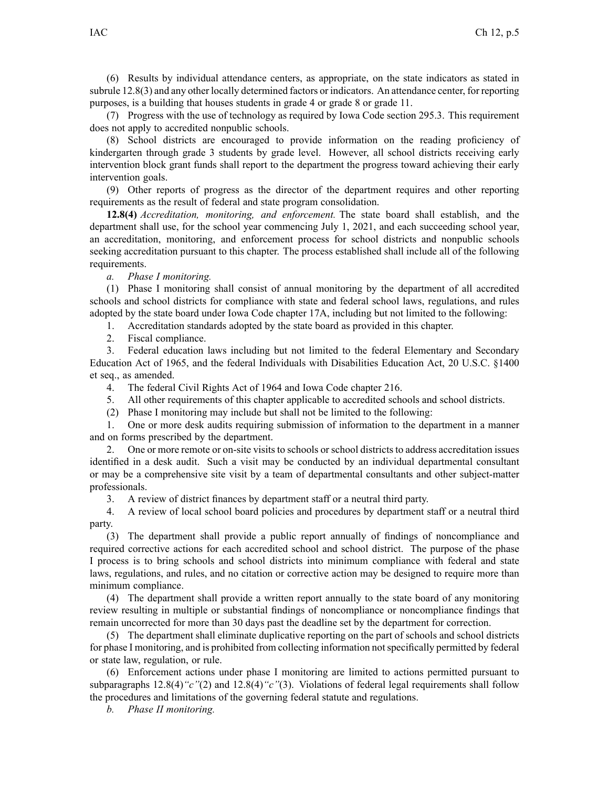(6) Results by individual attendance centers, as appropriate, on the state indicators as stated in subrule [12.8\(3\)](https://www.legis.iowa.gov/docs/iac/rule/281.12.8.pdf) and any other locally determined factors or indicators. An attendance center, for reporting purposes, is <sup>a</sup> building that houses students in grade 4 or grade 8 or grade 11.

(7) Progress with the use of technology as required by Iowa Code section [295.3](https://www.legis.iowa.gov/docs/ico/section/295.3.pdf). This requirement does not apply to accredited nonpublic schools.

(8) School districts are encouraged to provide information on the reading proficiency of kindergarten through grade 3 students by grade level. However, all school districts receiving early intervention block gran<sup>t</sup> funds shall repor<sup>t</sup> to the department the progress toward achieving their early intervention goals.

(9) Other reports of progress as the director of the department requires and other reporting requirements as the result of federal and state program consolidation.

**12.8(4)** *Accreditation, monitoring, and enforcement.* The state board shall establish, and the department shall use, for the school year commencing July 1, 2021, and each succeeding school year, an accreditation, monitoring, and enforcement process for school districts and nonpublic schools seeking accreditation pursuan<sup>t</sup> to this chapter. The process established shall include all of the following requirements.

*a. Phase I monitoring.*

(1) Phase I monitoring shall consist of annual monitoring by the department of all accredited schools and school districts for compliance with state and federal school laws, regulations, and rules adopted by the state board under Iowa Code chapter [17A](https://www.legis.iowa.gov/docs/ico/chapter/17A.pdf), including but not limited to the following:

1. Accreditation standards adopted by the state board as provided in this chapter.

2. Fiscal compliance.

3. Federal education laws including but not limited to the federal Elementary and Secondary Education Act of 1965, and the federal Individuals with Disabilities Education Act, 20 U.S.C. §1400 et seq., as amended.

4. The federal Civil Rights Act of 1964 and Iowa Code chapter [216](https://www.legis.iowa.gov/docs/ico/chapter/216.pdf).

5. All other requirements of this chapter applicable to accredited schools and school districts.

(2) Phase I monitoring may include but shall not be limited to the following:

1. One or more desk audits requiring submission of information to the department in <sup>a</sup> manner and on forms prescribed by the department.

2. One or more remote or on-site visits to schools or school districts to address accreditation issues identified in <sup>a</sup> desk audit. Such <sup>a</sup> visit may be conducted by an individual departmental consultant or may be <sup>a</sup> comprehensive site visit by <sup>a</sup> team of departmental consultants and other subject-matter professionals.

3. A review of district finances by department staff or <sup>a</sup> neutral third party.

4. A review of local school board policies and procedures by department staff or <sup>a</sup> neutral third party.

(3) The department shall provide <sup>a</sup> public repor<sup>t</sup> annually of findings of noncompliance and required corrective actions for each accredited school and school district. The purpose of the phase I process is to bring schools and school districts into minimum compliance with federal and state laws, regulations, and rules, and no citation or corrective action may be designed to require more than minimum compliance.

(4) The department shall provide <sup>a</sup> written repor<sup>t</sup> annually to the state board of any monitoring review resulting in multiple or substantial findings of noncompliance or noncompliance findings that remain uncorrected for more than 30 days pas<sup>t</sup> the deadline set by the department for correction.

(5) The department shall eliminate duplicative reporting on the par<sup>t</sup> of schools and school districts for phase I monitoring, and is prohibited from collecting information notspecifically permitted by federal or state law, regulation, or rule.

(6) Enforcement actions under phase I monitoring are limited to actions permitted pursuan<sup>t</sup> to subparagraphs [12.8\(4\)](https://www.legis.iowa.gov/docs/iac/rule/281.12.8.pdf)*"c"*(2) and [12.8\(4\)](https://www.legis.iowa.gov/docs/iac/rule/281.12.8.pdf)*"c"*(3). Violations of federal legal requirements shall follow the procedures and limitations of the governing federal statute and regulations.

*b. Phase II monitoring.*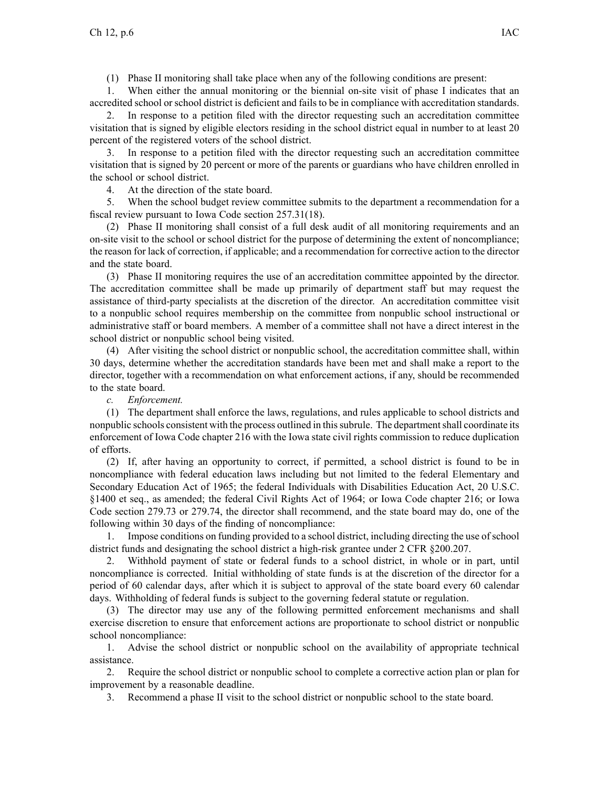(1) Phase II monitoring shall take place when any of the following conditions are present:

1. When either the annual monitoring or the biennial on-site visit of phase I indicates that an accredited school or school district is deficient and fails to be in compliance with accreditation standards.

2. In response to <sup>a</sup> petition filed with the director requesting such an accreditation committee visitation that is signed by eligible electors residing in the school district equal in number to at least 20 percen<sup>t</sup> of the registered voters of the school district.

3. In response to <sup>a</sup> petition filed with the director requesting such an accreditation committee visitation that is signed by 20 percen<sup>t</sup> or more of the parents or guardians who have children enrolled in the school or school district.

4. At the direction of the state board.

5. When the school budget review committee submits to the department <sup>a</sup> recommendation for <sup>a</sup> fiscal review pursuan<sup>t</sup> to Iowa Code section [257.31\(18\)](https://www.legis.iowa.gov/docs/ico/section/257.31.pdf).

(2) Phase II monitoring shall consist of <sup>a</sup> full desk audit of all monitoring requirements and an on-site visit to the school or school district for the purpose of determining the extent of noncompliance; the reason for lack of correction, if applicable; and <sup>a</sup> recommendation for corrective action to the director and the state board.

(3) Phase II monitoring requires the use of an accreditation committee appointed by the director. The accreditation committee shall be made up primarily of department staff but may reques<sup>t</sup> the assistance of third-party specialists at the discretion of the director. An accreditation committee visit to <sup>a</sup> nonpublic school requires membership on the committee from nonpublic school instructional or administrative staff or board members. A member of <sup>a</sup> committee shall not have <sup>a</sup> direct interest in the school district or nonpublic school being visited.

(4) After visiting the school district or nonpublic school, the accreditation committee shall, within 30 days, determine whether the accreditation standards have been met and shall make <sup>a</sup> repor<sup>t</sup> to the director, together with <sup>a</sup> recommendation on what enforcement actions, if any, should be recommended to the state board.

*c. Enforcement.*

(1) The department shall enforce the laws, regulations, and rules applicable to school districts and nonpublic schools consistent with the process outlined in this subrule. The department shall coordinate its enforcement of Iowa Code chapter [216](https://www.legis.iowa.gov/docs/ico/chapter/216.pdf) with the Iowa state civil rights commission to reduce duplication of efforts.

(2) If, after having an opportunity to correct, if permitted, <sup>a</sup> school district is found to be in noncompliance with federal education laws including but not limited to the federal Elementary and Secondary Education Act of 1965; the federal Individuals with Disabilities Education Act, 20 U.S.C. §1400 et seq., as amended; the federal Civil Rights Act of 1964; or Iowa Code chapter [216](https://www.legis.iowa.gov/docs/ico/chapter/216.pdf); or Iowa Code section [279.73](https://www.legis.iowa.gov/docs/ico/section/279.73.pdf) or [279.74](https://www.legis.iowa.gov/docs/ico/section/279.74.pdf), the director shall recommend, and the state board may do, one of the following within 30 days of the finding of noncompliance:

1. Impose conditions on funding provided to <sup>a</sup> school district, including directing the use ofschool district funds and designating the school district <sup>a</sup> high-risk grantee under 2 CFR §200.207.

2. Withhold paymen<sup>t</sup> of state or federal funds to <sup>a</sup> school district, in whole or in part, until noncompliance is corrected. Initial withholding of state funds is at the discretion of the director for <sup>a</sup> period of 60 calendar days, after which it is subject to approval of the state board every 60 calendar days. Withholding of federal funds is subject to the governing federal statute or regulation.

(3) The director may use any of the following permitted enforcement mechanisms and shall exercise discretion to ensure that enforcement actions are proportionate to school district or nonpublic school noncompliance:

1. Advise the school district or nonpublic school on the availability of appropriate technical assistance.

2. Require the school district or nonpublic school to complete <sup>a</sup> corrective action plan or plan for improvement by <sup>a</sup> reasonable deadline.

3. Recommend <sup>a</sup> phase II visit to the school district or nonpublic school to the state board.